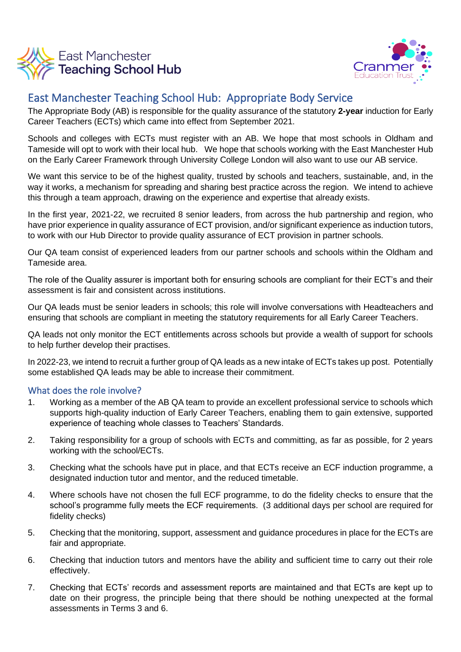



# East Manchester Teaching School Hub: Appropriate Body Service

The Appropriate Body (AB) is responsible for the quality assurance of the statutory **2-year** induction for Early Career Teachers (ECTs) which came into effect from September 2021.

Schools and colleges with ECTs must register with an AB. We hope that most schools in Oldham and Tameside will opt to work with their local hub. We hope that schools working with the East Manchester Hub on the Early Career Framework through University College London will also want to use our AB service.

We want this service to be of the highest quality, trusted by schools and teachers, sustainable, and, in the way it works, a mechanism for spreading and sharing best practice across the region. We intend to achieve this through a team approach, drawing on the experience and expertise that already exists.

In the first year, 2021-22, we recruited 8 senior leaders, from across the hub partnership and region, who have prior experience in quality assurance of ECT provision, and/or significant experience as induction tutors, to work with our Hub Director to provide quality assurance of ECT provision in partner schools.

Our QA team consist of experienced leaders from our partner schools and schools within the Oldham and Tameside area.

The role of the Quality assurer is important both for ensuring schools are compliant for their ECT's and their assessment is fair and consistent across institutions.

Our QA leads must be senior leaders in schools; this role will involve conversations with Headteachers and ensuring that schools are compliant in meeting the statutory requirements for all Early Career Teachers.

QA leads not only monitor the ECT entitlements across schools but provide a wealth of support for schools to help further develop their practises.

In 2022-23, we intend to recruit a further group of QA leads as a new intake of ECTs takes up post. Potentially some established QA leads may be able to increase their commitment.

### What does the role involve?

- 1. Working as a member of the AB QA team to provide an excellent professional service to schools which supports high-quality induction of Early Career Teachers, enabling them to gain extensive, supported experience of teaching whole classes to Teachers' Standards.
- 2. Taking responsibility for a group of schools with ECTs and committing, as far as possible, for 2 years working with the school/ECTs.
- 3. Checking what the schools have put in place, and that ECTs receive an ECF induction programme, a designated induction tutor and mentor, and the reduced timetable.
- 4. Where schools have not chosen the full ECF programme, to do the fidelity checks to ensure that the school's programme fully meets the ECF requirements. (3 additional days per school are required for fidelity checks)
- 5. Checking that the monitoring, support, assessment and guidance procedures in place for the ECTs are fair and appropriate.
- 6. Checking that induction tutors and mentors have the ability and sufficient time to carry out their role effectively.
- 7. Checking that ECTs' records and assessment reports are maintained and that ECTs are kept up to date on their progress, the principle being that there should be nothing unexpected at the formal assessments in Terms 3 and 6.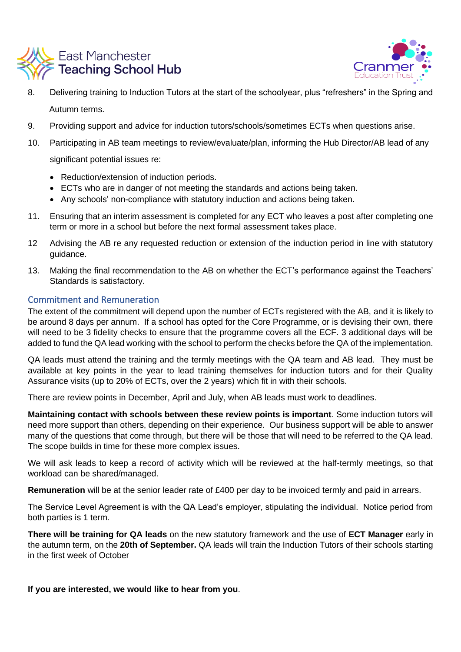



- 8. Delivering training to Induction Tutors at the start of the schoolyear, plus "refreshers" in the Spring and Autumn terms.
- 9. Providing support and advice for induction tutors/schools/sometimes ECTs when questions arise.
- 10. Participating in AB team meetings to review/evaluate/plan, informing the Hub Director/AB lead of any significant potential issues re:
	- Reduction/extension of induction periods.
	- ECTs who are in danger of not meeting the standards and actions being taken.
	- Any schools' non-compliance with statutory induction and actions being taken.
- 11. Ensuring that an interim assessment is completed for any ECT who leaves a post after completing one term or more in a school but before the next formal assessment takes place.
- 12 Advising the AB re any requested reduction or extension of the induction period in line with statutory guidance.
- 13. Making the final recommendation to the AB on whether the ECT's performance against the Teachers' Standards is satisfactory.

#### Commitment and Remuneration

The extent of the commitment will depend upon the number of ECTs registered with the AB, and it is likely to be around 8 days per annum. If a school has opted for the Core Programme, or is devising their own, there will need to be 3 fidelity checks to ensure that the programme covers all the ECF. 3 additional days will be added to fund the QA lead working with the school to perform the checks before the QA of the implementation.

QA leads must attend the training and the termly meetings with the QA team and AB lead. They must be available at key points in the year to lead training themselves for induction tutors and for their Quality Assurance visits (up to 20% of ECTs, over the 2 years) which fit in with their schools.

There are review points in December, April and July, when AB leads must work to deadlines.

**Maintaining contact with schools between these review points is important**. Some induction tutors will need more support than others, depending on their experience. Our business support will be able to answer many of the questions that come through, but there will be those that will need to be referred to the QA lead. The scope builds in time for these more complex issues.

We will ask leads to keep a record of activity which will be reviewed at the half-termly meetings, so that workload can be shared/managed.

**Remuneration** will be at the senior leader rate of £400 per day to be invoiced termly and paid in arrears.

The Service Level Agreement is with the QA Lead's employer, stipulating the individual. Notice period from both parties is 1 term.

**There will be training for QA leads** on the new statutory framework and the use of **ECT Manager** early in the autumn term, on the **20th of September.** QA leads will train the Induction Tutors of their schools starting in the first week of October

**If you are interested, we would like to hear from you**.